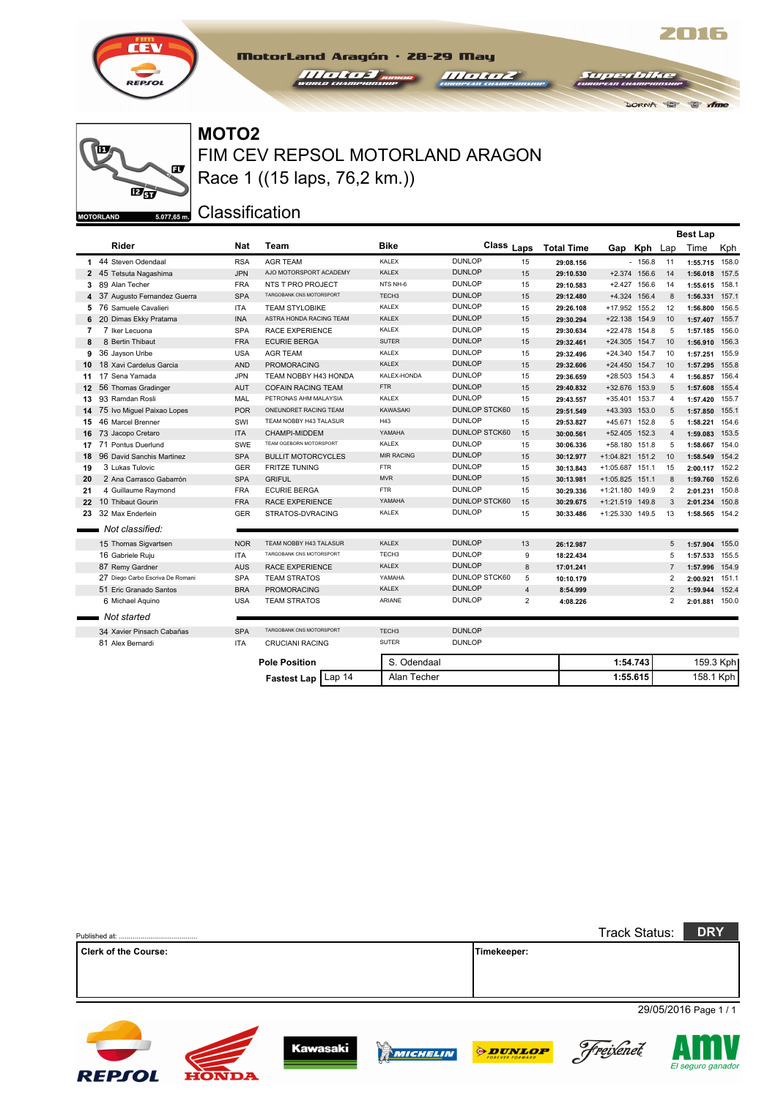



FIM CEV REPSOL MOTORLAND ARAGON **MOTO2** Race 1 ((15 laps, 76,2 km.))

MotorLand Aragón · 28-29 May

*Halter Brown* 

Classification

|                          |                                  |            |                           |                   |                      |                |                   |                 |              |                | <b>Best Lap</b> |       |
|--------------------------|----------------------------------|------------|---------------------------|-------------------|----------------------|----------------|-------------------|-----------------|--------------|----------------|-----------------|-------|
|                          | Rider                            | Nat        | Team                      | <b>Bike</b>       | Class Laps           |                | <b>Total Time</b> |                 | Gap Kph Lap  |                | Time            | Kph   |
|                          | 1 44 Steven Odendaal             | <b>RSA</b> | <b>AGR TEAM</b>           | <b>KALEX</b>      | <b>DUNLOP</b>        | 15             | 29:08.156         |                 | $-156.8$     | 11             | 1:55.715 158.0  |       |
|                          | 2 45 Tetsuta Nagashima           | <b>JPN</b> | AJO MOTORSPORT ACADEMY    | <b>KALEX</b>      | <b>DUNLOP</b>        | 15             | 29:10.530         |                 | +2.374 156.6 | 14             | 1:56.018        | 157.5 |
| 3                        | 89 Alan Techer                   | <b>FRA</b> | NTS T PRO PROJECT         | NTS NH-6          | <b>DUNLOP</b>        | 15             | 29:10.583         |                 | +2.427 156.6 | 14             | 1:55.615 158.1  |       |
|                          | 4 37 Augusto Fernandez Guerra    | <b>SPA</b> | TARGOBANK CNS MOTORSPORT  | TECH <sub>3</sub> | <b>DUNLOP</b>        | 15             | 29:12.480         |                 | +4.324 156.4 | 8              | 1:56.331        | 157.1 |
| 5                        | 76 Samuele Cavalieri             | <b>ITA</b> | <b>TEAM STYLOBIKE</b>     | KALEX             | <b>DUNLOP</b>        | 15             | 29:26.108         | +17.952 155.2   |              | 12             | 1:56.800        | 156.5 |
| 6                        | 20 Dimas Ekky Pratama            | <b>INA</b> | ASTRA HONDA RACING TEAM   | <b>KALEX</b>      | <b>DUNLOP</b>        | 15             | 29:30.294         | +22.138 154.9   |              | 10             | 1:57.407        | 155.7 |
| $\overline{\phantom{a}}$ | 7 Iker Lecuona                   | <b>SPA</b> | <b>RACE EXPERIENCE</b>    | KALEX             | <b>DUNLOP</b>        | 15             | 29:30.634         | +22.478 154.8   |              | 5              | 1:57.185        | 156.0 |
| 8                        | 8 Bertin Thibaut                 | <b>FRA</b> | <b>ECURIE BERGA</b>       | <b>SUTER</b>      | DUNLOP               | 15             | 29:32.461         | +24.305 154.7   |              | 10             | 1:56.910        | 156.3 |
| 9                        | 36 Jayson Uribe                  | <b>USA</b> | <b>AGR TEAM</b>           | <b>KALEX</b>      | <b>DUNLOP</b>        | 15             | 29:32.496         | +24.340 154.7   |              | 10             | 1:57.251        | 155.9 |
| 10                       | 18 Xavi Cardelus Garcia          | <b>AND</b> | <b>PROMORACING</b>        | <b>KALEX</b>      | <b>DUNLOP</b>        | 15             | 29:32.606         | +24.450 154.7   |              | 10             | 1:57.295        | 155.8 |
| 11                       | 17 Sena Yamada                   | <b>JPN</b> | TEAM NOBBY H43 HONDA      | KALEX-HONDA       | <b>DUNLOP</b>        | 15             | 29:36.659         | +28.503 154.3   |              | 4              | 1:56.857        | 156.4 |
| 12 <sup>2</sup>          | 56 Thomas Gradinger              | AUT        | <b>COFAIN RACING TEAM</b> | <b>FTR</b>        | <b>DUNLOP</b>        | 15             | 29:40.832         | +32.676 153.9   |              | 5              | 1:57.608        | 155.4 |
| 13                       | 93 Ramdan Rosli                  | MAL        | PETRONAS AHM MALAYSIA     | KALEX             | <b>DUNLOP</b>        | 15             | 29:43.557         | +35.401 153.7   |              | 4              | 1:57.420        | 155.7 |
| 14                       | 75 Ivo Miguel Paixao Lopes       | <b>POR</b> | ONEUNDRET RACING TEAM     | <b>KAWASAKI</b>   | <b>DUNLOP STCK60</b> | 15             | 29:51.549         | +43.393 153.0   |              | 5              | 1:57.850        | 155.1 |
| 15                       | 46 Marcel Brenner                | SWI        | TEAM NOBBY H43 TALASUR    | H43               | <b>DUNLOP</b>        | 15             | 29:53.827         | +45.671 152.8   |              | 5              | 1:58.221        | 154.6 |
| 16                       | 73 Jacopo Cretaro                | <b>ITA</b> | CHAMPI-MIDDEM             | YAMAHA            | <b>DUNLOP STCK60</b> | 15             | 30:00.561         | +52.405 152.3   |              | $\overline{4}$ | 1:59.083        | 153.5 |
| 17                       | 71 Pontus Duerlund               | SWE        | TEAM OGEBORN MOTORSPORT   | KALEX             | <b>DUNLOP</b>        | 15             | 30:06.336         | +58.180 151.8   |              | 5              | 1:58.667        | 154.0 |
| 18                       | 96 David Sanchis Martinez        | <b>SPA</b> | <b>BULLIT MOTORCYCLES</b> | <b>MIR RACING</b> | <b>DUNLOP</b>        | 15             | 30:12.977         | +1:04.821 151.2 |              | 10             | 1:58.549        | 154.2 |
| 19                       | 3 Lukas Tulovic                  | <b>GER</b> | <b>FRITZE TUNING</b>      | <b>FTR</b>        | <b>DUNLOP</b>        | 15             | 30:13.843         | $+1:05.687$     | 151.1        | 15             | 2:00.117        | 152.2 |
| 20                       | 2 Ana Carrasco Gabarrón          | <b>SPA</b> | <b>GRIFUL</b>             | <b>MVR</b>        | <b>DUNLOP</b>        | 15             | 30:13.981         | +1:05.825 151.1 |              | 8              | 1:59.760        | 152.6 |
| 21                       | 4 Guillaume Raymond              | <b>FRA</b> | <b>ECURIE BERGA</b>       | <b>FTR</b>        | <b>DUNLOP</b>        | 15             | 30:29.336         | +1:21.180 149.9 |              | $\overline{2}$ | 2:01.231        | 150.8 |
| 22                       | 10 Thibaut Gourin                | FRA        | RACE EXPERIENCE           | YAMAHA            | <b>DUNLOP STCK60</b> | 15             | 30:29.675         | +1:21.519 149.8 |              | 3              | 2:01.234        | 150.8 |
| 23                       | 32 Max Enderlein                 | <b>GER</b> | STRATOS-DVRACING          | <b>KALEX</b>      | <b>DUNLOP</b>        | 15             | 30:33.486         | +1:25.330 149.5 |              | 13             | 1:58.565 154.2  |       |
|                          | Not classified:                  |            |                           |                   |                      |                |                   |                 |              |                |                 |       |
|                          | 15 Thomas Sigvartsen             | <b>NOR</b> | TEAM NOBBY H43 TALASUR    | <b>KALEX</b>      | <b>DUNLOP</b>        | 13             | 26:12.987         |                 |              | 5              | 1:57.904        | 155.0 |
|                          | 16 Gabriele Ruju                 | <b>ITA</b> | TARGOBANK CNS MOTORSPORT  | TECH <sub>3</sub> | <b>DUNLOP</b>        | 9              | 18:22.434         |                 |              | 5              | 1:57.533        | 155.5 |
|                          | 87 Remy Gardner                  | <b>AUS</b> | RACE EXPERIENCE           | <b>KALEX</b>      | <b>DUNLOP</b>        | 8              | 17:01.241         |                 |              | $\overline{7}$ | 1:57.996        | 154.9 |
|                          | 27 Diego Carbo Escriva De Romani | <b>SPA</b> | <b>TEAM STRATOS</b>       | YAMAHA            | <b>DUNLOP STCK60</b> | 5              | 10:10.179         |                 |              | $\overline{2}$ | 2:00.921        | 151.1 |
|                          | 51 Eric Granado Santos           | <b>BRA</b> | <b>PROMORACING</b>        | <b>KALEX</b>      | <b>DUNLOP</b>        | $\overline{4}$ | 8:54.999          |                 |              | $\overline{2}$ | 1:59.944        | 152.4 |
|                          | 6 Michael Aquino                 | <b>USA</b> | <b>TEAM STRATOS</b>       | <b>ARIANE</b>     | <b>DUNLOP</b>        | $\overline{2}$ | 4:08.226          |                 |              | 2              | 2:01.881 150.0  |       |
|                          | Not started                      |            |                           |                   |                      |                |                   |                 |              |                |                 |       |
|                          | 34 Xavier Pinsach Cabañas        | <b>SPA</b> | TARGOBANK CNS MOTORSPORT  | TECH <sub>3</sub> | <b>DUNLOP</b>        |                |                   |                 |              |                |                 |       |
|                          | 81 Alex Bernardi                 | <b>ITA</b> | <b>CRUCIANI RACING</b>    | <b>SUTER</b>      | <b>DUNLOP</b>        |                |                   |                 |              |                |                 |       |
|                          |                                  |            | <b>Pole Position</b>      | S. Odendaal       |                      |                |                   |                 | 1:54.743     |                | 159.3 Kph       |       |

**Fastest Lap** Lap 14 Alan Techer **1:55.615** 1:55.615 158.1 Kph

 $\mathbb{R}$  to

DORNA PO

*<u>III oli oz*</u>

|                             |              |                 |          |                | <b>Track Status:</b> | <b>DRY</b>            |
|-----------------------------|--------------|-----------------|----------|----------------|----------------------|-----------------------|
| <b>Clerk of the Course:</b> |              |                 |          | Timekeeper:    |                      |                       |
|                             |              |                 |          |                |                      |                       |
|                             |              |                 |          |                |                      | 29/05/2016 Page 1 / 1 |
| <b>REPSOL</b>               | <b>HONDA</b> | <b>Kawasaki</b> | MICHELIN | <b>ODUNLOP</b> | Freixenet            | El seguro ganador     |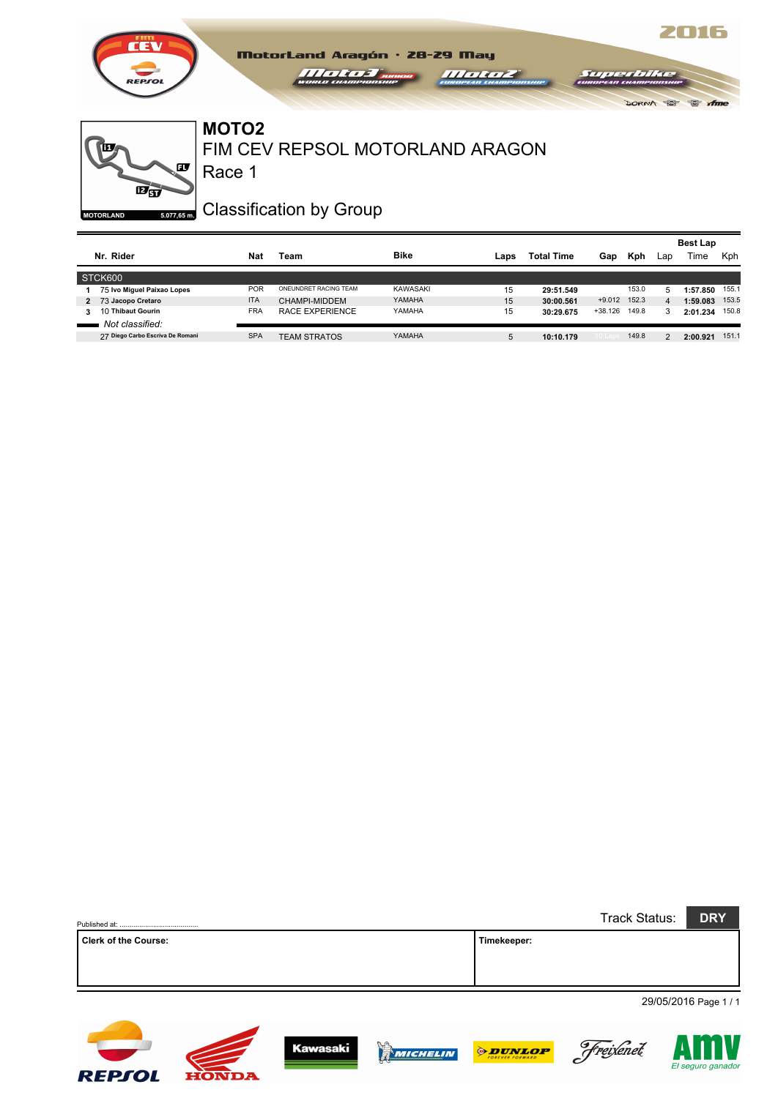



### Race 1 FIM CEV REPSOL MOTORLAND ARAGON **MOTO2**

Classification by Group

|   |                                  |            |                       |             |      |                   |          |       |     | <b>Best Lap</b> |            |
|---|----------------------------------|------------|-----------------------|-------------|------|-------------------|----------|-------|-----|-----------------|------------|
|   | Nr. Rider                        | Nat        | Team                  | <b>Bike</b> | Laps | <b>Total Time</b> | Gap      | Kph   | Lap | Time            | <b>Kph</b> |
|   | STCK600                          |            |                       |             |      |                   |          |       |     |                 |            |
|   | 75 Ivo Miguel Paixao Lopes       | <b>POR</b> | ONEUNDRET RACING TEAM | KAWASAKI    | 15   | 29:51.549         |          | 153.0 | 5   | 1:57.850        | 155.1      |
|   | 2 73 Jacopo Cretaro              | <b>ITA</b> | CHAMPI-MIDDEM         | YAMAHA      | 15   | 30:00.561         | $+9.012$ | 152.3 | 4   | 1:59.083        | 153.5      |
| 3 | 10 Thibaut Gourin                | <b>FRA</b> | RACE EXPERIENCE       | YAMAHA      | 15   | 30:29.675         | +38.126  | 149.8 | 3   | 2:01.234        | 150.8      |
|   | Not classified:                  |            |                       |             |      |                   |          |       |     |                 |            |
|   | 27 Diego Carbo Escriva De Romani | <b>SPA</b> | <b>TEAM STRATOS</b>   | YAMAHA      | 5    | 10:10.179         |          | 149.8 | 2   | 2:00.921        | 151.1      |

|                      |             | Track Status: | <b>DRY</b>            |
|----------------------|-------------|---------------|-----------------------|
| Clerk of the Course: | Timekeeper: |               |                       |
|                      |             |               |                       |
|                      |             |               |                       |
|                      |             |               | 29/05/2016 Page 1 / 1 |

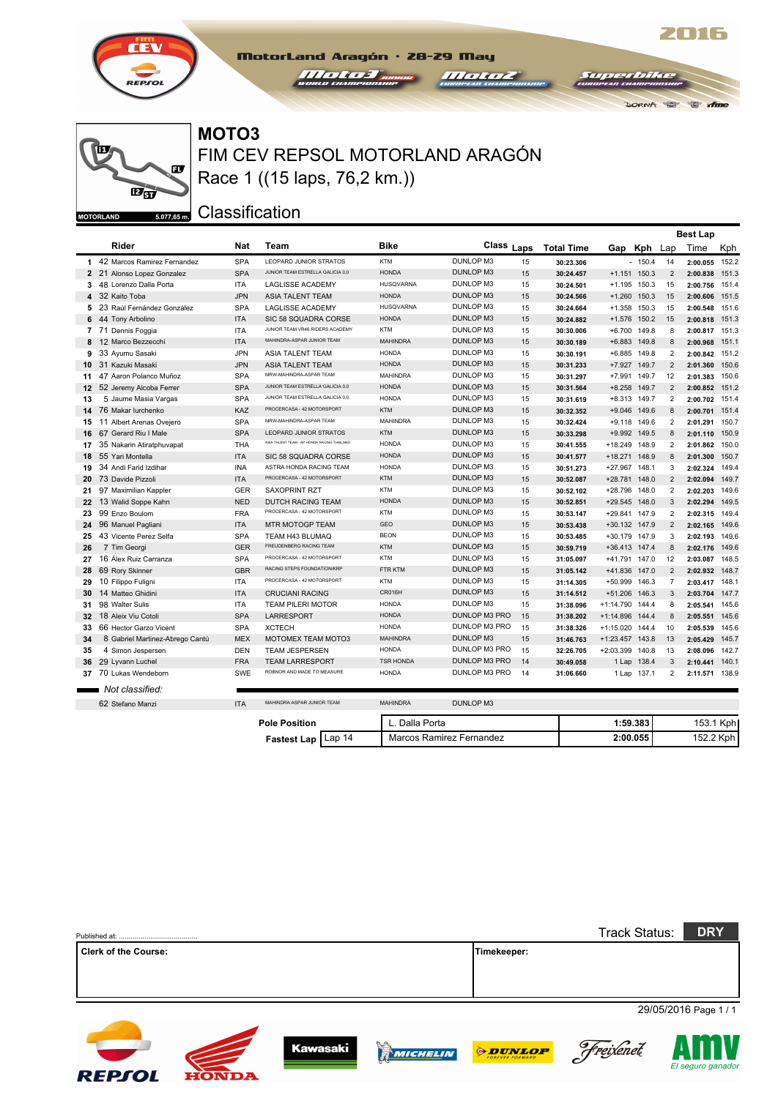



FIM CEV REPSOL MOTORLAND ARAGÓN **MOTO3** Race 1 ((15 laps, 76,2 km.))

MotorLand Aragón · 28-29 May

 $III$ 

**Classification** 

**HONDA** 

**REPSOL** 

|                 |                                 |            |                                             |                  |                      |    |                   |                 |                |                | <b>Best Lap</b> |           |
|-----------------|---------------------------------|------------|---------------------------------------------|------------------|----------------------|----|-------------------|-----------------|----------------|----------------|-----------------|-----------|
|                 | Rider                           | <b>Nat</b> | Team                                        | <b>Bike</b>      | Class Laps           |    | <b>Total Time</b> | Gap             | Kph Lap        |                | Time            | Kph       |
|                 | 1 42 Marcos Ramirez Fernandez   | <b>SPA</b> | <b>I FOPARD JUNIOR STRATOS</b>              | <b>KTM</b>       | DUNLOP M3            | 15 | 30:23.306         |                 | $-150.4$       | 14             | 2:00.055        | 152.2     |
|                 | 2 21 Alonso Lopez Gonzalez      | <b>SPA</b> | JUNIOR TEAM ESTRELLA GALICIA 0,0            | <b>HONDA</b>     | <b>DUNLOP M3</b>     | 15 | 30:24.457         |                 | $+1.151$ 150.3 | 2              | 2:00.838        | 151.3     |
|                 | 3 48 Lorenzo Dalla Porta        | <b>ITA</b> | <b>LAGLISSE ACADEMY</b>                     | <b>HUSQVARNA</b> | DUNLOP M3            | 15 | 30:24.501         |                 | +1.195 150.3   | 15             | 2:00.756        | 151.4     |
|                 | 4 32 Kaito Toba                 | JPN.       | <b>ASIA TALENT TEAM</b>                     | <b>HONDA</b>     | <b>DUNLOP M3</b>     | 15 | 30:24.566         | $+1.260$        | 150.3          | 15             | 2:00.606        | 151.5     |
|                 | 5 23 Raúl Fernández González    | <b>SPA</b> | <b>LAGLISSE ACADEMY</b>                     | <b>HUSQVARNA</b> | DUNLOP M3            | 15 | 30:24.664         | $+1.358$        | 150.3          | 15             | 2:00.548        | 151.6     |
| 6               | 44 Tony Arbolino                | <b>ITA</b> | SIC 58 SQUADRA CORSE                        | <b>HONDA</b>     | <b>DUNLOP M3</b>     | 15 | 30:24.882         | $+1.576$        | 150.2          | 15             | 2:00.818        | 151.3     |
|                 | 7 71 Dennis Foggia              | <b>ITA</b> | JUNIOR TEAM VR46 RIDERS ACADEMY             | <b>KTM</b>       | DUNLOP M3            | 15 | 30:30.006         |                 | +6.700 149.8   | 8              | 2:00.817 151.3  |           |
| 8               | 12 Marco Bezzecchi              | <b>ITA</b> | MAHINDRA-ASPAR JUNIOR TEAM                  | <b>MAHINDRA</b>  | <b>DUNLOP M3</b>     | 15 | 30:30.189         |                 | +6.883 149.8   | 8              | 2:00.968        | 151.1     |
| 9               | 33 Ayumu Sasaki                 | <b>JPN</b> | <b>ASIA TALENT TEAM</b>                     | <b>HONDA</b>     | DUNLOP M3            | 15 | 30:30.191         |                 | +6.885 149.8   | $\overline{2}$ | 2:00.842        | 151.2     |
| 10              | 31 Kazuki Masaki                | JPN.       | <b>ASIA TALENT TEAM</b>                     | <b>HONDA</b>     | <b>DUNLOP M3</b>     | 15 | 30:31.233         | $+7.927$        | 149.7          | $\overline{2}$ | 2:01.360        | 150.6     |
| 11              | 47 Aaron Polanco Muñoz          | <b>SPA</b> | MRW-MAHINDRA-ASPAR TEAM                     | <b>MAHINDRA</b>  | DUNLOP M3            | 15 | 30:31.297         |                 | +7.991 149.7   | 12             | 2:01.383        | 150.6     |
| 12 <sup>1</sup> | 52 Jeremy Alcoba Ferrer         | <b>SPA</b> | JUNIOR TEAM ESTRELLA GALICIA 0,0            | <b>HONDA</b>     | <b>DUNLOP M3</b>     | 15 | 30:31.564         |                 | +8.258 149.7   | $\overline{2}$ | 2:00.852        | 151.2     |
| 13              | 5 Jaume Masia Vargas            | <b>SPA</b> | JUNIOR TEAM ESTRELLA GALICIA 0.0            | <b>HONDA</b>     | DUNLOP M3            | 15 | 30:31.619         |                 | +8.313 149.7   | $\overline{2}$ | 2:00.702        | 151.4     |
| 14              | 76 Makar lurchenko              | KAZ        | PROCERCASA - 42 MOTORSPORT                  | <b>KTM</b>       | <b>DUNLOP M3</b>     | 15 | 30:32.352         |                 | +9.046 149.6   | 8              | 2:00.701 151.4  |           |
|                 | 15 11 Albert Arenas Oveiero     | <b>SPA</b> | MRW-MAHINDRA-ASPAR TEAM                     | <b>MAHINDRA</b>  | <b>DUNLOP M3</b>     | 15 | 30:32.424         |                 | +9.118 149.6   | 2              | 2:01.291        | 150.7     |
| 16              | 67 Gerard Riu I Male            | <b>SPA</b> | LEOPARD JUNIOR STRATOS                      | <b>KTM</b>       | <b>DUNLOP M3</b>     | 15 | 30:33.298         | $+9.992$        | 149.5          | 8              | 2:01.110        | 150.9     |
|                 | 17 35 Nakarin Atiratphuvapat    | <b>THA</b> | ASIA TALENT TEAM - AP HONDA RACING THAILAND | <b>HONDA</b>     | DUNLOP M3            | 15 | 30:41.555         | +18.249 148.9   |                | $\overline{2}$ | 2:01.862        | 150.0     |
| 18              | 55 Yari Montella                | <b>ITA</b> | SIC 58 SQUADRA CORSE                        | <b>HONDA</b>     | <b>DUNLOP M3</b>     | 15 | 30:41.577         | +18.271 148.9   |                | 8              | 2:01.300        | 150.7     |
|                 | 19 34 Andi Farid Izdihar        | <b>INA</b> | ASTRA HONDA RACING TEAM                     | <b>HONDA</b>     | <b>DUNLOP M3</b>     | 15 | 30:51.273         | +27.967 148.1   |                | 3              | 2:02.324        | 149.4     |
| 20              | 73 Davide Pizzoli               | <b>ITA</b> | PROCERCASA - 42 MOTORSPORT                  | <b>KTM</b>       | <b>DUNLOP M3</b>     | 15 | 30:52.087         | $+28.781$       | 148.0          | $\overline{2}$ | 2:02.094        | 149.7     |
|                 | 21 97 Maximilian Kappler        | <b>GER</b> | <b>SAXOPRINT RZT</b>                        | <b>KTM</b>       | DUNLOP M3            | 15 | 30:52.102         | +28.796 148.0   |                | 2              | 2:02.203        | 149.6     |
| 22              | 13 Walid Soppe Kahn             | <b>NED</b> | <b>DUTCH RACING TEAM</b>                    | <b>HONDA</b>     | <b>DUNLOP M3</b>     | 15 | 30:52.851         | +29.545 148.0   |                | 3              | 2:02.294        | 149.5     |
| 23              | 99 Enzo Boulom                  | <b>FRA</b> | PROCERCASA - 42 MOTORSPORT                  | <b>KTM</b>       | DUNLOP M3            | 15 | 30:53.147         | +29.841 147.9   |                | $\overline{2}$ | 2:02.315        | 149.4     |
|                 | 24 96 Manuel Pagliani           | <b>ITA</b> | MTR MOTOGP TEAM                             | GEO              | <b>DUNLOP M3</b>     | 15 | 30:53.438         | +30.132 147.9   |                | 2              | 2:02.165        | 149.6     |
| 25              | 43 Vicente Perez Selfa          | <b>SPA</b> | TEAM H43 BLUMAQ                             | <b>BEON</b>      | <b>DUNLOP M3</b>     | 15 | 30:53.485         | +30.179 147.9   |                | 3              | 2:02.193        | 149.6     |
| 26              | 7 Tim Georgi                    | <b>GER</b> | FREUDENBERG RACING TEAM                     | <b>KTM</b>       | <b>DUNLOP M3</b>     | 15 | 30:59.719         | +36.413 147.4   |                | 8              | 2:02.176        | 149.6     |
| 27              | 16 Álex Ruiz Carranza           | <b>SPA</b> | PROCERCASA - 42 MOTORSPORT                  | <b>KTM</b>       | <b>DUNLOP M3</b>     | 15 | 31:05.097         | $+41.791$       | 147.0          | 12             | 2:03.087        | 148.5     |
| 28              | 69 Rory Skinner                 | <b>GBR</b> | RACING STEPS FOUNDATION/KRP                 | <b>FTR KTM</b>   | <b>DUNLOP M3</b>     | 15 | 31:05.142         | +41.836 147.0   |                | $\overline{2}$ | 2:02.932 148.7  |           |
| 29              | 10 Filippo Fuligni              | <b>ITA</b> | PROCERCASA - 42 MOTORSPORT                  | <b>KTM</b>       | DUNLOP M3            | 15 | 31:14.305         | +50.999 146.3   |                | $\overline{7}$ | 2:03.417 148.1  |           |
| 30              | 14 Matteo Ghidini               | <b>ITA</b> | <b>CRUCIANI RACING</b>                      | CR016H           | <b>DUNLOP M3</b>     | 15 | 31:14.512         | +51.206 146.3   |                | 3              | 2:03.704        | 147.7     |
| 31              | 98 Walter Sulis                 | <b>ITA</b> | <b>TEAM PILERI MOTOR</b>                    | <b>HONDA</b>     | DUNLOP M3            | 15 | 31:38.096         | +1:14.790 144.4 |                | 8              | 2:05.541        | 145.6     |
| 32 <sub>2</sub> | 18 Aleix Viu Cotoli             | <b>SPA</b> | <b>LARRESPORT</b>                           | <b>HONDA</b>     | <b>DUNLOP M3 PRO</b> | 15 | 31:38.202         | +1:14.896 144.4 |                | 8              | 2:05.551        | 145.6     |
| 33              | 66 Hector Garzo Vicent          | <b>SPA</b> | <b>XCTECH</b>                               | <b>HONDA</b>     | DUNLOP M3 PRO        | 15 | 31:38.326         | $+1:15.020$     | 144.4          | 10             | 2:05.539        | 145.6     |
| 34              | 8 Gabriel Martinez-Abrego Cantú | <b>MEX</b> | <b>MOTOMEX TEAM MOTO3</b>                   | <b>MAHINDRA</b>  | DUNLOP M3            | 15 | 31:46.763         | +1:23.457 143.8 |                | 13             | 2:05.429        | 145.7     |
| 35              | 4 Simon Jespersen               | <b>DEN</b> | <b>TEAM JESPERSEN</b>                       | <b>HONDA</b>     | DUNLOP M3 PRO        | 15 | 32:26.705         | +2:03.399 140.8 |                | 13             | 2:08.096        | 142.7     |
| 36              | 29 Lyvann Luchel                | <b>FRA</b> | <b>TEAM LARRESPORT</b>                      | <b>TSR HONDA</b> | DUNLOP M3 PRO        | 14 | 30:49.058         |                 | 1 Lap 138.4    | 3              | 2:10.441        | 140.1     |
|                 | 37 70 Lukas Wendeborn           | SWE        | ROBNOR AND MADE TO MEASURE                  | <b>HONDA</b>     | DUNLOP M3 PRO        | 14 | 31:06.660         |                 | 1 Lap 137.1    | 2              | 2:11.571 138.9  |           |
|                 | Not classified:                 |            |                                             |                  |                      |    |                   |                 |                |                |                 |           |
|                 | 62 Stefano Manzi                | <b>ITA</b> | MAHINDRA ASPAR JUNIOR TEAM                  | <b>MAHINDRA</b>  | <b>DUNLOP M3</b>     |    |                   |                 |                |                |                 |           |
|                 |                                 |            |                                             |                  |                      |    |                   |                 |                |                |                 |           |
|                 |                                 |            | <b>Pole Position</b>                        | L. Dalla Porta   |                      |    |                   |                 | 1:59.383       |                |                 | 153.1 Kph |

**Fastest Lap** Lap 14 Marcos Ramirez Fernandez **2:00.055** 152.2 Kph

|                             |                 |                 |                                   | <b>Track Status:</b> | <b>DRY</b>            |
|-----------------------------|-----------------|-----------------|-----------------------------------|----------------------|-----------------------|
| <b>Clerk of the Course:</b> |                 |                 | Timekeeper:                       |                      |                       |
|                             |                 |                 |                                   |                      |                       |
|                             |                 |                 |                                   |                      |                       |
|                             |                 |                 |                                   |                      | 29/05/2016 Page 1 / 1 |
|                             |                 |                 |                                   |                      |                       |
|                             | <b>Kawasaki</b> | <b>WICHELIN</b> | <b>ODUNLOP</b><br>FOREVER FORWARD | Freixenet            |                       |



 $\mathbb{R}$  th

**DORNA** 

 $\overline{ST/L}$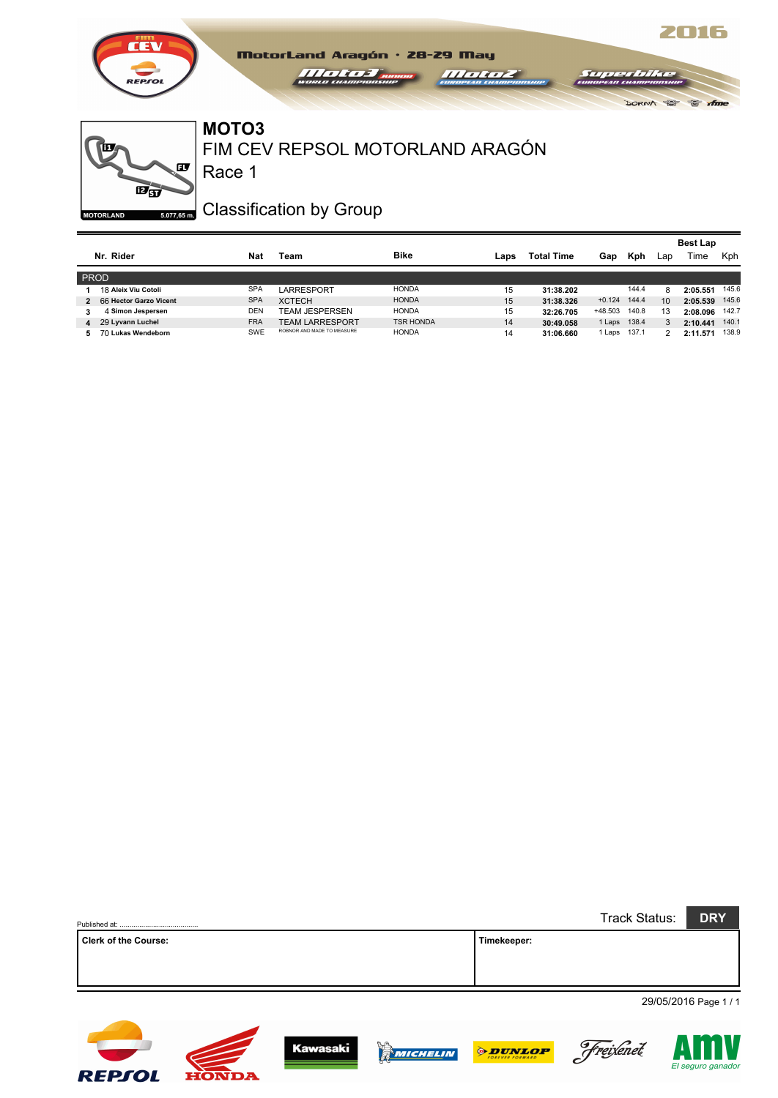

#### FIM CEV REPSOL MOTORLAND ARAGÓN **MOTO3**

 $1111111$ 

MotorLand Aragón · 28-29 May

œ  $\overline{\mathbf{E}}$  $5.077,65$  m. **MOTORLAND** 

ĨШ

Race 1

# Classification by Group

|                |                        |            |                            |                  |      |                   |                   |       |     | <b>Best Lap</b> |       |
|----------------|------------------------|------------|----------------------------|------------------|------|-------------------|-------------------|-------|-----|-----------------|-------|
|                | Nr. Rider              | Nat        | Team                       | <b>Bike</b>      | Laps | <b>Total Time</b> | Gap               | Kph   | Lap | Time            | Kph   |
| PROD           |                        |            |                            |                  |      |                   |                   |       |     |                 |       |
|                | 18 Aleix Viu Cotoli    | <b>SPA</b> | LARRESPORT                 | <b>HONDA</b>     | 15   | 31:38.202         |                   | 144.4 | 8   | 2:05.551        | 145.6 |
| $\overline{2}$ | 66 Hector Garzo Vicent | <b>SPA</b> | <b>XCTECH</b>              | <b>HONDA</b>     | 15   | 31:38.326         | $+0.124$          | 144.4 | 10  | 2:05.539        | 145.6 |
|                | 4 Simon Jespersen      | DEN        | <b>TEAM JESPERSEN</b>      | <b>HONDA</b>     | 15   | 32:26.705         | +48.503           | 140.8 | 13  | 2:08.096        | 142.7 |
| 4              | 29 Lyvann Luchel       | <b>FRA</b> | <b>TEAM LARRESPORT</b>     | <b>TSR HONDA</b> | 14   | 30:49.058         | 1 Laps 138.4      |       | 3   | 2:10.441        | 140.1 |
| 5.             | 70 Lukas Wendeborn     | <b>SWE</b> | ROBNOR AND MADE TO MEASURE | <b>HONDA</b>     | 14   | 31:06.660         | <sup>1</sup> Laps | 137.1 |     | 2:11.571        | 138.9 |

 $111111$ 

2016

 $r \approx 16$ 

DORNA TOP

|                             | Track Status: | <b>DRY</b> |                       |
|-----------------------------|---------------|------------|-----------------------|
| <b>Clerk of the Course:</b> | Timekeeper:   |            |                       |
|                             |               |            |                       |
|                             |               |            |                       |
|                             |               |            | 29/05/2016 Page 1 / 1 |

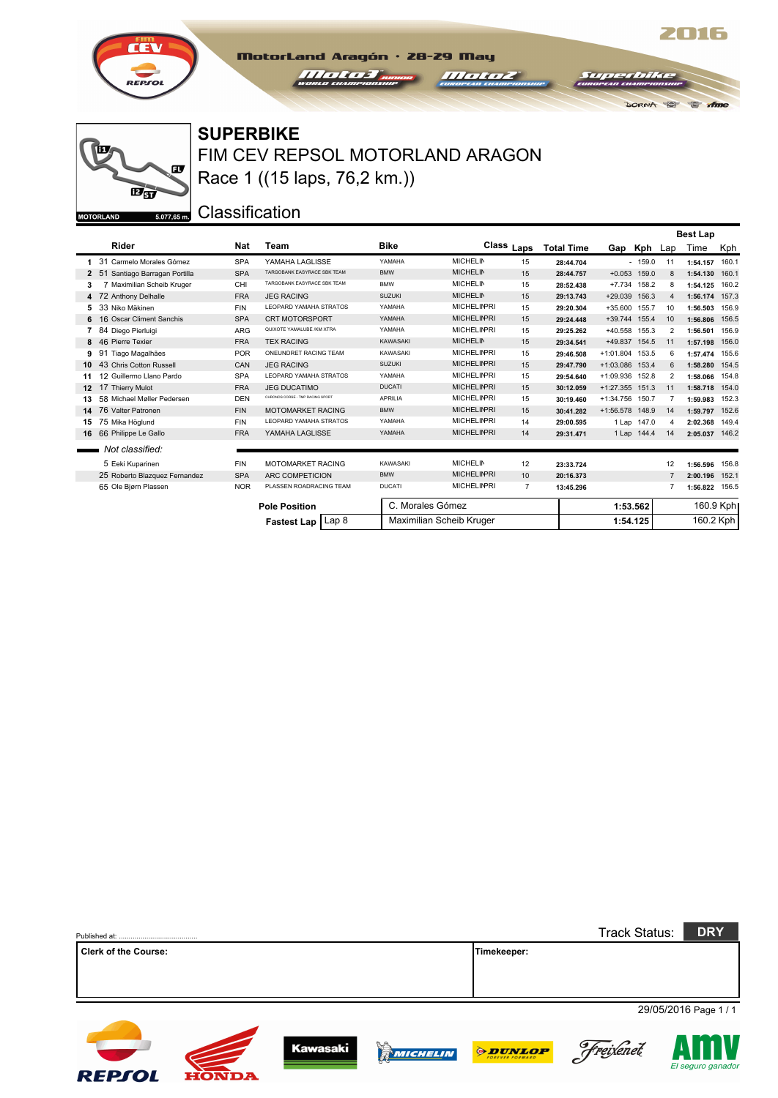

 $\overline{\mathbf{E}}$ gy

Œ,

 $5.077,65 \text{ m.}$ 

ŤП

**MOTORLAND** 

### **SUPERBIKE**

FIM CEV REPSOL MOTORLAND ARAGON Race 1 ((15 laps, 76,2 km.))

MotorLand Aragón · 28-29 May *Helena* 

*Hound* 

2016

 $\approx$   $\pi$ 

DORNA PO

 $\overline{M}$ 

Classification

|    |                                  |            |                                  |                  |                          |                       |                   |                 |             |                | <b>Best Lap</b> |       |
|----|----------------------------------|------------|----------------------------------|------------------|--------------------------|-----------------------|-------------------|-----------------|-------------|----------------|-----------------|-------|
|    | Rider                            | <b>Nat</b> | Team                             | <b>Bike</b>      |                          | Class <sub>Laps</sub> | <b>Total Time</b> | Gap             | Kph Lap     |                | Time            | Kph   |
| 1. | 31 Carmelo Morales Gómez         | <b>SPA</b> | YAMAHA LAGLISSE                  | YAMAHA           | <b>MICHELIN</b>          | 15                    | 28:44.704         |                 | $-159.0$    | 11             | 1:54.157        | 160.1 |
|    | 51<br>Santiago Barragan Portilla | <b>SPA</b> | TARGOBANK EASYRACE SBK TEAM      | <b>BMW</b>       | <b>MICHELIN</b>          | 15                    | 28:44.757         | $+0.053$ 159.0  |             | 8              | 1:54.130        | 160.1 |
| 3  | Maximilian Scheib Kruger         | CHI        | TARGOBANK EASYRACE SBK TEAM      | <b>BMW</b>       | <b>MICHELIN</b>          | 15                    | 28:52.438         | $+7.734$        | 158.2       | 8              | 1:54.125        | 160.2 |
| 4  | 72 Anthony Delhalle              | <b>FRA</b> | <b>JEG RACING</b>                | <b>SUZUKI</b>    | <b>MICHELIN</b>          | 15                    | 29:13.743         | $+29.039$       | 156.3       | $\overline{4}$ | 1:56.174        | 157.3 |
| 5. | 33 Niko Mäkinen                  | <b>FIN</b> | LEOPARD YAMAHA STRATOS           | YAMAHA           | <b>MICHELINPRI</b>       | 15                    | 29:20.304         | $+35.600$       | 155.7       | 10             | 1:56.503        | 156.9 |
| 6  | 16 Oscar Climent Sanchis         | <b>SPA</b> | CRT MOTORSPORT                   | YAMAHA           | <b>MICHELINPRI</b>       | 15                    | 29:24.448         | +39.744 155.4   |             | 10             | 1:56.806        | 156.5 |
|    | 84 Diego Pierluigi               | <b>ARG</b> | QUIXOTE YAMALUBE /KM XTRA        | YAMAHA           | <b>MICHELINPRI</b>       | 15                    | 29:25.262         | $+40.558$       | 155.3       | $\overline{2}$ | 1:56.501        | 156.9 |
| 8  | 46 Pierre Texier                 | <b>FRA</b> | <b>TEX RACING</b>                | <b>KAWASAKI</b>  | <b>MICHELIN</b>          | 15                    | 29:34.541         | +49.837 154.5   |             | 11             | 1:57.198        | 156.0 |
| 9  | 91 Tiago Magalhães               | <b>POR</b> | ONEUNDRET RACING TEAM            | KAWASAKI         | <b>MICHELINPRI</b>       | 15                    | 29:46.508         | +1:01.804 153.5 |             | 6              | 1:57.474        | 155.6 |
| 10 | 43 Chris Cotton Russell          | CAN        | <b>JEG RACING</b>                | <b>SUZUKI</b>    | <b>MICHELINPRI</b>       | 15                    | 29:47.790         | +1:03.086 153.4 |             | 6              | 1:58.280        | 154.5 |
| 11 | 12 Guillermo Llano Pardo         | <b>SPA</b> | LEOPARD YAMAHA STRATOS           | YAMAHA           | <b>MICHELINPRI</b>       | 15                    | 29:54.640         | +1:09.936 152.8 |             | $\overline{2}$ | 1:58.066        | 154.8 |
| 12 | 17 Thierry Mulot                 | <b>FRA</b> | <b>JEG DUCATIMO</b>              | <b>DUCATI</b>    | <b>MICHELINPRI</b>       | 15                    | 30:12.059         | $+1:27.355$     | 151.3       | 11             | 1:58.718        | 154.0 |
| 13 | 58 Michael Møller Pedersen       | <b>DEN</b> | CHRONOS CORSE - TMP RACING SPORT | <b>APRILIA</b>   | <b>MICHELINPRI</b>       | 15                    | 30:19.460         | +1:34.756 150.7 |             | $\overline{7}$ | 1:59.983        | 152.3 |
| 14 | 76 Valter Patronen               | <b>FIN</b> | <b>MOTOMARKET RACING</b>         | <b>BMW</b>       | <b>MICHELINPRI</b>       | 15                    | 30:41.282         | +1:56.578 148.9 |             | 14             | 1:59.797        | 152.6 |
| 15 | 75 Mika Höglund                  | <b>FIN</b> | LEOPARD YAMAHA STRATOS           | YAMAHA           | <b>MICHELINPRI</b>       | 14                    | 29:00.595         |                 | 1 Lap 147.0 | 4              | 2:02.368        | 149.4 |
| 16 | 66 Philippe Le Gallo             | <b>FRA</b> | YAMAHA LAGLISSE                  | YAMAHA           | <b>MICHELINPRI</b>       | 14                    | 29:31.471         |                 | 1 Lap 144.4 | 14             | 2:05.037        | 146.2 |
|    | Not classified:                  |            |                                  |                  |                          |                       |                   |                 |             |                |                 |       |
|    | 5 Eeki Kuparinen                 | <b>FIN</b> | MOTOMARKET RACING                | KAWASAKI         | <b>MICHELIN</b>          | 12                    | 23:33.724         |                 |             | 12             | 1:56.596        | 156.8 |
|    | 25 Roberto Blazquez Fernandez    | <b>SPA</b> | ARC COMPETICION                  | <b>BMW</b>       | <b>MICHELINPRI</b>       | 10                    | 20:16.373         |                 |             | $\overline{7}$ | 2:00.196        | 152.1 |
|    | 65 Ole Bjørn Plassen             | <b>NOR</b> | PLASSEN ROADRACING TEAM          | <b>DUCATI</b>    | <b>MICHELINPRI</b>       | $\overline{7}$        | 13:45.296         |                 |             |                | 1:56.822        | 156.5 |
|    |                                  |            | <b>Pole Position</b>             | C. Morales Gómez |                          |                       |                   |                 | 1:53.562    |                | 160.9 Kph       |       |
|    |                                  |            | Lap 8<br>Fastest Lap             |                  | Maximilian Scheib Kruger |                       |                   | 1:54.125        |             |                | 160.2 Kph       |       |

|                             |              |                 |          |                | <b>Track Status:</b> | <b>DRY</b>            |
|-----------------------------|--------------|-----------------|----------|----------------|----------------------|-----------------------|
| <b>Clerk of the Course:</b> |              |                 |          | Timekeeper:    |                      |                       |
|                             |              |                 |          |                |                      | 29/05/2016 Page 1 / 1 |
| <b>REPSOL</b>               | <b>HONDA</b> | <b>Kawasaki</b> | MICHELIN | <b>ODUNLOP</b> | Freixenet            | El seguro ganador     |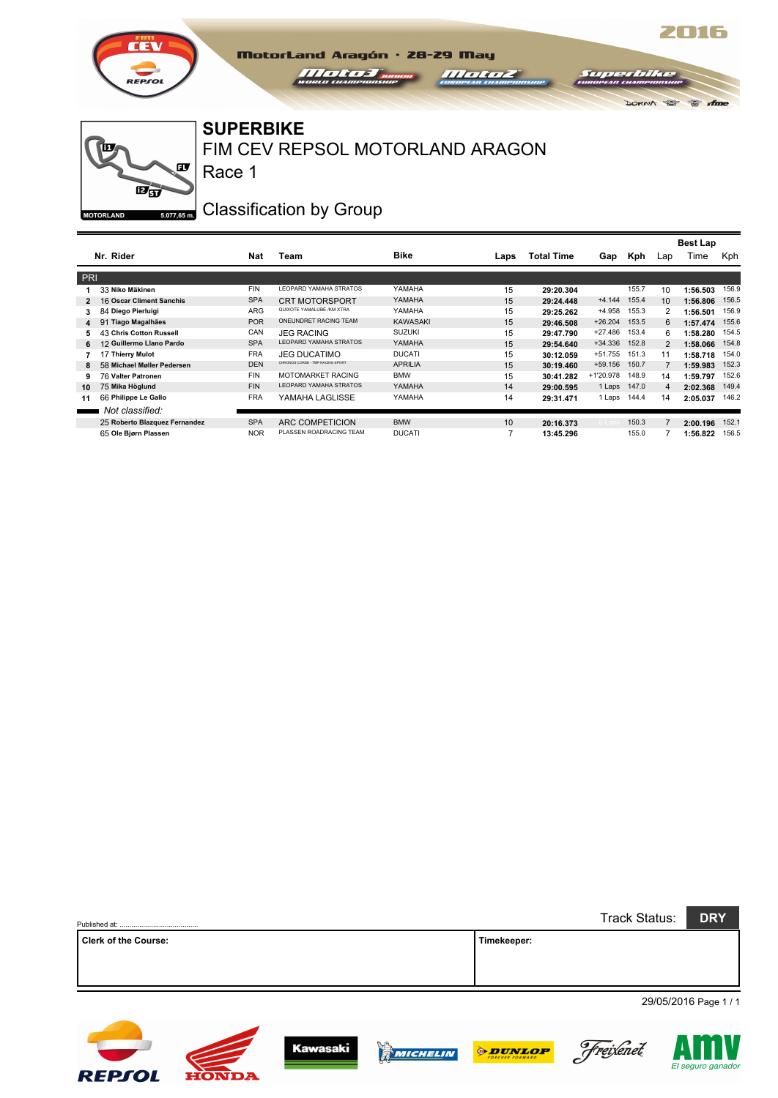

#### **SUPERBIKE**

Race 1

FIM CEV REPSOL MOTORLAND ARAGON

MotorLand Aragón · 28-29 May

 $111111$ 

 $11111111$ 

œ  $\overline{\mathbf{E}}$  $5.077,65$  m. **MOTORLAND** 

**REPSOL** 

**HONDA** 

ĨШ

## Classification by Group

|                |                               |            |                                  |                |      |                   |           |       |                | <b>Best Lap</b> |       |
|----------------|-------------------------------|------------|----------------------------------|----------------|------|-------------------|-----------|-------|----------------|-----------------|-------|
|                | Nr. Rider                     | Nat        | Team                             | <b>Bike</b>    | Laps | <b>Total Time</b> | Gap       | Kph   | Lap            | Time            | Kph   |
| <b>PRI</b>     |                               |            |                                  |                |      |                   |           |       |                |                 |       |
|                | 33 Niko Mäkinen               | <b>FIN</b> | <b>LEOPARD YAMAHA STRATOS</b>    | YAMAHA         | 15   | 29:20.304         |           | 155.7 | 10             | 1:56.503        | 156.9 |
| $\overline{2}$ | 16 Oscar Climent Sanchis      | <b>SPA</b> | <b>CRT MOTORSPORT</b>            | YAMAHA         | 15   | 29:24.448         | $+4.144$  | 155.4 | 10             | 1:56.806        | 156.5 |
| 3              | 84 Diego Pierluigi            | <b>ARG</b> | QUIXOTE YAMALUBE /KM XTRA        | YAMAHA         | 15   | 29:25.262         | +4.958    | 155.3 | 2              | 1:56.501        | 156.9 |
| 4              | <b>Tiago Magalhães</b><br>91  | <b>POR</b> | ONEUNDRET RACING TEAM            | KAWASAKI       | 15   | 29:46.508         | $+26.204$ | 153.5 | 6              | 1:57.474        | 155.6 |
| 5.             | 43 Chris Cotton Russell       | CAN        | <b>JEG RACING</b>                | <b>SUZUKI</b>  | 15   | 29:47.790         | $+27.486$ | 153.4 | 6              | 1:58.280        | 154.5 |
| 6              | 12 Guillermo Llano Pardo      | <b>SPA</b> | <b>LEOPARD YAMAHA STRATOS</b>    | YAMAHA         | 15   | 29:54.640         | $+34.336$ | 152.8 | 2              | 1:58.066        | 154.8 |
|                | 17 Thierry Mulot              | <b>FRA</b> | <b>JEG DUCATIMO</b>              | <b>DUCATI</b>  | 15   | 30:12.059         | $+51.755$ | 151.3 | 11             | 1:58.718        | 154.0 |
| 8              | 58 Michael Møller Pedersen    | <b>DEN</b> | CHRONOS CORSE - TMP RACING SPORT | <b>APRILIA</b> | 15   | 30:19.460         | $+59.156$ | 150.7 |                | 1:59.983        | 152.3 |
| 9              | 76 Valter Patronen            | <b>FIN</b> | <b>MOTOMARKET RACING</b>         | <b>BMW</b>     | 15   | 30:41.282         | +1'20.978 | 148.9 | 14             | 1:59.797        | 152.6 |
| 10             | 75 Mika Höglund               | <b>FIN</b> | <b>LEOPARD YAMAHA STRATOS</b>    | YAMAHA         | 14   | 29:00.595         | 1 Laps    | 147.0 | $\overline{4}$ | 2:02.368        | 149.4 |
| 11             | 66 Philippe Le Gallo          | <b>FRA</b> | YAMAHA LAGLISSE                  | YAMAHA         | 14   | 29:31.471         | 1 Laps    | 144.4 | 14             | 2:05.037        | 146.2 |
|                | Not classified:               |            |                                  |                |      |                   |           |       |                |                 |       |
|                | 25 Roberto Blazquez Fernandez | <b>SPA</b> | ARC COMPETICION                  | <b>BMW</b>     | 10   | 20:16.373         |           | 150.3 |                | 2:00.196        | 152.1 |
|                | 65 Ole Bjørn Plassen          | <b>NOR</b> | PLASSEN ROADRACING TEAM          | <b>DUCATI</b>  |      | 13:45.296         |           | 155.0 |                | 1:56.822        | 156.5 |

|                             |             | Track Status: | <b>DRY</b>            |
|-----------------------------|-------------|---------------|-----------------------|
| <b>Clerk of the Course:</b> | Timekeeper: |               |                       |
|                             |             |               |                       |
|                             |             |               |                       |
|                             |             |               | 29/05/2016 Page 1 / 1 |

**Kawasaki** 



2016

 $C$  th

DORNA TOP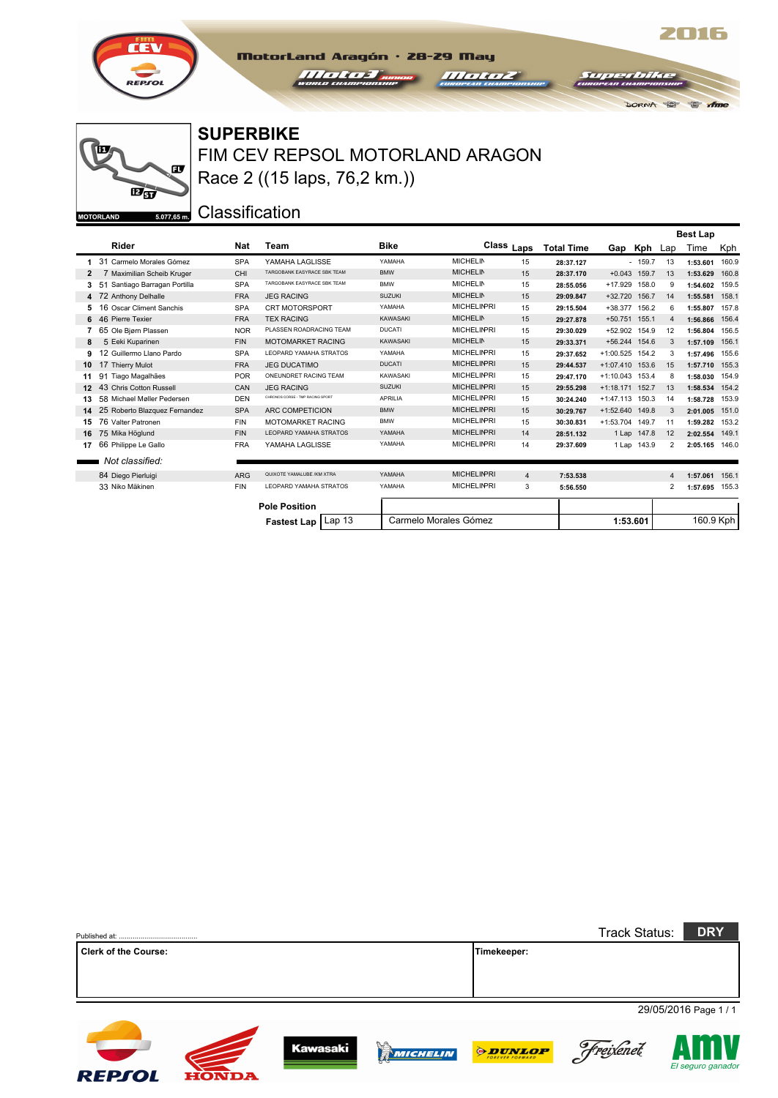

 $\overline{\mathbf{E}}$ gy

 $\mathbf{F}$ 

 $5.077,65$  m.

ĨП

**MOTORLAND** 

### **SUPERBIKE**

FIM CEV REPSOL MOTORLAND ARAGON Race 2 ((15 laps, 76,2 km.))

MotorLand Aragón · 28-29 May

**III oli oz** 

*Helen Help Thomas* 

2016

 $C$  if  $\pi$ 

DORNA D

**Supr** 

Classification

|                              |                                  |            |                                  |                 |                    |                |                   |                 |                |    | <b>Best Lap</b> |       |
|------------------------------|----------------------------------|------------|----------------------------------|-----------------|--------------------|----------------|-------------------|-----------------|----------------|----|-----------------|-------|
|                              | Rider                            | <b>Nat</b> | Team                             | <b>Bike</b>     |                    | Class Laps     | <b>Total Time</b> |                 | Gap Kph Lap    |    | Time            | Kph   |
|                              | 31 Carmelo Morales Gómez         | <b>SPA</b> | YAMAHA LAGLISSE                  | YAMAHA          | <b>MICHELIN</b>    | 15             | 28:37.127         |                 | $-159.7$       | 13 | 1:53.601        | 160.9 |
|                              | 7 Maximilian Scheib Kruger       | CHI        | TARGOBANK EASYRACE SBK TEAM      | <b>BMW</b>      | <b>MICHELIN</b>    | 15             | 28:37.170         |                 | $+0.043$ 159.7 | 13 | 1:53.629        | 160.8 |
|                              | 51<br>Santiago Barragan Portilla | <b>SPA</b> | TARGOBANK EASYRACE SBK TEAM      | <b>BMW</b>      | <b>MICHELIN</b>    | 15             | 28:55.056         | $+17.929$       | 158.0          | 9  | 1:54.602        | 159.5 |
| 4                            | 72 Anthony Delhalle              | <b>FRA</b> | <b>JEG RACING</b>                | <b>SUZUKI</b>   | <b>MICHELIN</b>    | 15             | 29:09.847         |                 | +32.720 156.7  | 14 | 1:55.581        | 158.1 |
| 5                            | 16 Oscar Climent Sanchis         | <b>SPA</b> | <b>CRT MOTORSPORT</b>            | YAMAHA          | <b>MICHELINPRI</b> | 15             | 29:15.504         | +38.377 156.2   |                | 6  | 1:55.807        | 157.8 |
|                              | 6 46 Pierre Texier               | <b>FRA</b> | <b>TEX RACING</b>                | <b>KAWASAKI</b> | <b>MICHELIN</b>    | 15             | 29:27.878         | +50.751 155.1   |                | 4  | 1:56.866        | 156.4 |
|                              | 65 Ole Bjørn Plassen             | <b>NOR</b> | PLASSEN ROADRACING TEAM          | <b>DUCATI</b>   | <b>MICHELINPRI</b> | 15             | 29:30.029         |                 | +52.902 154.9  | 12 | 1:56.804        | 156.5 |
| 8                            | 5 Eeki Kuparinen                 | <b>FIN</b> | <b>MOTOMARKET RACING</b>         | <b>KAWASAKI</b> | <b>MICHELIN</b>    | 15             | 29:33.371         | +56.244 154.6   |                | 3  | 1:57.109        | 156.1 |
| 9                            | 12 Guillermo Llano Pardo         | <b>SPA</b> | LEOPARD YAMAHA STRATOS           | YAMAHA          | <b>MICHELINPRI</b> | 15             | 29:37.652         | +1:00.525 154.2 |                | 3  | 1:57.496        | 155.6 |
| 10                           | 17 Thierry Mulot                 | <b>FRA</b> | <b>JEG DUCATIMO</b>              | <b>DUCATI</b>   | <b>MICHELINPRI</b> | 15             | 29:44.537         | +1:07.410 153.6 |                | 15 | 1:57.710        | 155.3 |
|                              | 91 Tiago Magalhães               | <b>POR</b> | ONEUNDRET RACING TEAM            | KAWASAKI        | <b>MICHELINPRI</b> | 15             | 29:47.170         | +1:10.043 153.4 |                | 8  | 1:58.030 154.9  |       |
| 12                           | 43 Chris Cotton Russell          | CAN        | <b>JEG RACING</b>                | <b>SUZUKI</b>   | <b>MICHELINPRI</b> | 15             | 29:55.298         | +1:18.171 152.7 |                | 13 | 1:58.534 154.2  |       |
| 13                           | 58 Michael Møller Pedersen       | <b>DEN</b> | CHRONOS CORSE - TMP RACING SPORT | <b>APRILIA</b>  | <b>MICHELINPRI</b> | 15             | 30:24.240         | +1:47.113 150.3 |                | 14 | 1:58.728        | 153.9 |
| 14                           | 25 Roberto Blazquez Fernandez    | <b>SPA</b> | ARC COMPETICION                  | <b>BMW</b>      | <b>MICHELINPRI</b> | 15             | 30:29.767         | +1:52.640 149.8 |                | 3  | 2:01.005        | 151.0 |
| 15                           | 76 Valter Patronen               | <b>FIN</b> | <b>MOTOMARKET RACING</b>         | <b>BMW</b>      | <b>MICHELINPRI</b> | 15             | 30:30.831         | +1:53.704 149.7 |                | 11 | 1:59.282        | 153.2 |
| 16                           | 75 Mika Höglund                  | <b>FIN</b> | <b>LEOPARD YAMAHA STRATOS</b>    | YAMAHA          | <b>MICHELINPRI</b> | 14             | 28:51.132         |                 | 1 Lap 147.8    | 12 | 2:02.554 149.1  |       |
| 17                           | 66 Philippe Le Gallo             | <b>FRA</b> | YAMAHA LAGLISSE                  | YAMAHA          | <b>MICHELINPRI</b> | 14             | 29:37.609         |                 | 1 Lap 143.9    | 2  | 2:05.165 146.0  |       |
|                              | Not classified:                  |            |                                  |                 |                    |                |                   |                 |                |    |                 |       |
|                              | 84 Diego Pierluigi               | <b>ARG</b> | QUIXOTE YAMALUBE /KM XTRA        | YAMAHA          | <b>MICHELINPRI</b> | $\overline{4}$ | 7:53.538          |                 |                | 4  | 1:57.061        | 156.1 |
|                              | 33 Niko Mäkinen                  | <b>FIN</b> | LEOPARD YAMAHA STRATOS           | YAMAHA          | <b>MICHELINPRI</b> | 3              | 5:56.550          |                 |                | 2  | 1:57.695 155.3  |       |
|                              |                                  |            | <b>Pole Position</b>             |                 |                    |                |                   |                 |                |    |                 |       |
| Lap 13<br><b>Fastest Lap</b> |                                  |            | Carmelo Morales Gómez            |                 |                    |                | 1:53.601          |                 | 160.9 Kph      |    |                 |       |

|                             |              |                 |                            |                | <b>Track Status:</b> | <b>DRY</b>            |
|-----------------------------|--------------|-----------------|----------------------------|----------------|----------------------|-----------------------|
| <b>Clerk of the Course:</b> |              |                 |                            | Timekeeper:    |                      |                       |
|                             |              |                 |                            |                |                      |                       |
|                             |              |                 |                            |                |                      |                       |
|                             |              |                 |                            |                |                      | 29/05/2016 Page 1 / 1 |
| <b>REPSOL</b>               | <b>HONDA</b> | <b>Kawasaki</b> | $\mathbb{R}^n$<br>MICHELIN | <b>ODUNLOP</b> | Freixenet            | El seguro ganado      |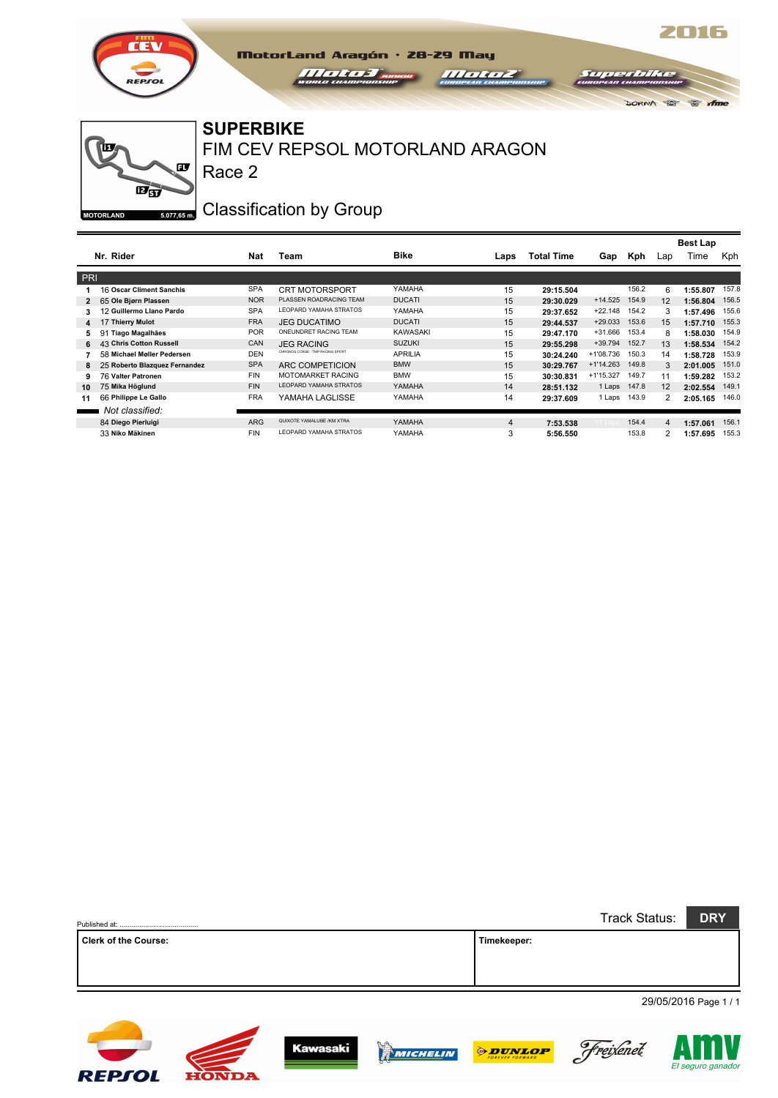

#### **SUPERBIKE**

Race 2

FIM CEV REPSOL MOTORLAND ARAGON

 $111111$ 

MotorLand Aragón · 28-29 May

 $\sqrt{11111115}$ 

œ  $\overline{\mathbf{E}}$  $5.077,65$  m. **MOTORLAND** 

**REPSOL** 

**HONDA** 

ĨШ

## Classification by Group

|            |                               |            |                                  |                |      |                   |             |       |     | <b>Best Lap</b> |       |
|------------|-------------------------------|------------|----------------------------------|----------------|------|-------------------|-------------|-------|-----|-----------------|-------|
|            | Nr. Rider                     | Nat        | Team                             | <b>Bike</b>    | Laps | <b>Total Time</b> | Gap         | Kph   | Lap | Time            | Kph   |
| <b>PRI</b> |                               |            |                                  |                |      |                   |             |       |     |                 |       |
|            | 16 Oscar Climent Sanchis      | <b>SPA</b> | <b>CRT MOTORSPORT</b>            | YAMAHA         | 15   | 29:15.504         |             | 156.2 | 6   | 1:55.807        | 157.8 |
|            | 65 Ole Bjørn Plassen          | <b>NOR</b> | PLASSEN ROADRACING TEAM          | <b>DUCATI</b>  | 15   | 29:30.029         | $+14.525$   | 154.9 | 12  | 1:56.804        | 156.5 |
|            | 12 Guillermo Llano Pardo      | <b>SPA</b> | <b>I FOPARD YAMAHA STRATOS</b>   | YAMAHA         | 15   | 29:37.652         | $+22.148$   | 154.2 | 3   | 1:57.496        | 155.6 |
| 4          | 17 Thierry Mulot              | <b>FRA</b> | <b>JEG DUCATIMO</b>              | <b>DUCATI</b>  | 15   | 29:44.537         | $+29.033$   | 153.6 | 15  | 1:57.710        | 155.3 |
| 5.         | Tiago Magalhães<br>91         | <b>POR</b> | ONEUNDRET RACING TEAM            | KAWASAKI       | 15   | 29:47.170         | $+31.666$   | 153.4 | 8   | 1:58.030        | 154.9 |
| 6          | 43 Chris Cotton Russell       | CAN        | <b>JEG RACING</b>                | <b>SUZUKI</b>  | 15   | 29:55.298         | $+39.794$   | 152.7 | 13  | 1:58.534        | 154.2 |
|            | 58 Michael Møller Pedersen    | <b>DEN</b> | CHRONOS CORSE - TMP RACING SPORT | <b>APRILIA</b> | 15   | 30:24.240         | +1'08.736   | 150.3 | 14  | 1:58.728        | 153.9 |
| 8          | 25 Roberto Blazquez Fernandez | <b>SPA</b> | ARC COMPETICION                  | <b>BMW</b>     | 15   | 30:29.767         | $+1'14.263$ | 149.8 | 3   | 2:01.005        | 151.0 |
| 9          | 76 Valter Patronen            | <b>FIN</b> | <b>MOTOMARKET RACING</b>         | <b>BMW</b>     | 15   | 30:30.831         | $+1'15.327$ | 149.7 | 11  | 1:59.282        | 153.2 |
| 10         | 75 Mika Höglund               | <b>FIN</b> | <b>LEOPARD YAMAHA STRATOS</b>    | YAMAHA         | 14   | 28:51.132         | 1 Laps      | 147.8 | 12  | 2:02.554        | 149.  |
| 11         | 66 Philippe Le Gallo          | <b>FRA</b> | YAMAHA LAGLISSE                  | YAMAHA         | 14   | 29:37.609         | 1 Laps      | 143.9 | 2   | 2:05.165        | 146.0 |
|            | Not classified:               |            |                                  |                |      |                   |             |       |     |                 |       |
|            | 84 Diego Pierluigi            | <b>ARG</b> | QUIXOTE YAMALUBE /KM XTRA        | YAMAHA         | 4    | 7:53.538          |             | 154.4 | 4   | 1:57.061        | 156.1 |
|            | 33 Niko Mäkinen               | <b>FIN</b> | <b>LEOPARD YAMAHA STRATOS</b>    | YAMAHA         | 3    | 5:56.550          |             | 153.8 | 2   | 1:57.695        | 155.3 |

|                             |             | Track Status: | <b>DRY</b>            |
|-----------------------------|-------------|---------------|-----------------------|
| <b>Clerk of the Course:</b> | Timekeeper: |               |                       |
|                             |             |               |                       |
|                             |             |               |                       |
|                             |             |               | 29/05/2016 Page 1 / 1 |
|                             |             |               |                       |

MICHELIN

**Kawasaki** 



Freixenet

*PDUNLOP* 

2016

 $C$  th

DORNA TOP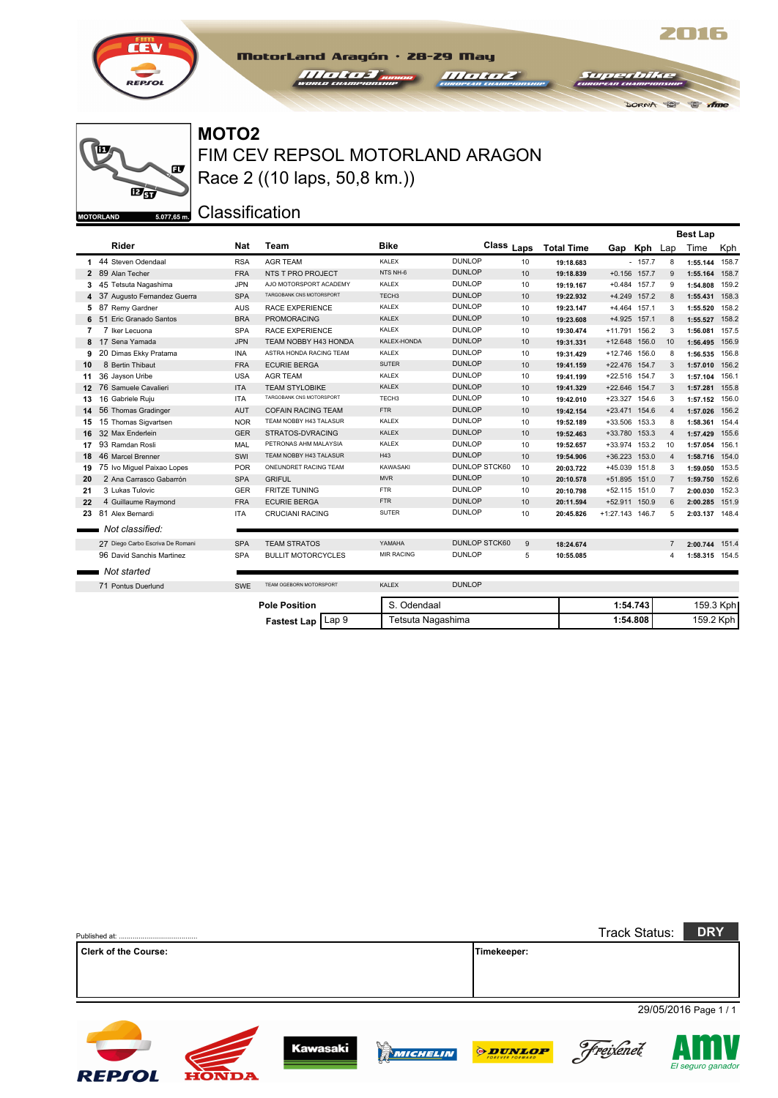



## FIM CEV REPSOL MOTORLAND ARAGON **MOTO2** Race 2 ((10 laps, 50,8 km.))

MotorLand Aragón · 28-29 May *Halter Brown* 

**III oli oz** 

2016

 $\bullet$  m

**DORNA** 

 $54742$ 

Classification

|                  |                                  |            |                           |                   |                      |    |                   |                 |                |                | <b>Best Lap</b> |       |
|------------------|----------------------------------|------------|---------------------------|-------------------|----------------------|----|-------------------|-----------------|----------------|----------------|-----------------|-------|
|                  | Rider                            | <b>Nat</b> | <b>Team</b>               | <b>Bike</b>       | Class Laps           |    | <b>Total Time</b> |                 | Gap Kph Lap    |                | Time            | Kph   |
|                  | 1 44 Steven Odendaal             | <b>RSA</b> | <b>AGR TEAM</b>           | <b>KALEX</b>      | <b>DUNLOP</b>        | 10 | 19:18.683         |                 | $-157.7$       | 8              | 1:55.144        | 158.7 |
|                  | 2 89 Alan Techer                 | <b>FRA</b> | NTS T PRO PROJECT         | NTS NH-6          | <b>DUNLOP</b>        | 10 | 19:18.839         |                 | $+0.156$ 157.7 | 9              | 1:55.164        | 158.7 |
| 3                | 45 Tetsuta Nagashima             | <b>JPN</b> | AJO MOTORSPORT ACADEMY    | <b>KALEX</b>      | <b>DUNLOP</b>        | 10 | 19:19.167         |                 | $+0.484$ 157.7 | 9              | 1:54.808        | 159.2 |
|                  | 4 37 Augusto Fernandez Guerra    | <b>SPA</b> | TARGOBANK CNS MOTORSPORT  | TECH <sub>3</sub> | <b>DUNLOP</b>        | 10 | 19:22.932         |                 | +4.249 157.2   | 8              | 1:55.431        | 158.3 |
| 5                | 87 Remy Gardner                  | <b>AUS</b> | RACE EXPERIENCE           | KALEX             | <b>DUNLOP</b>        | 10 | 19:23.147         |                 | +4.464 157.1   | 3              | 1:55.520        | 158.2 |
| 6                | Eric Granado Santos<br>51        | <b>BRA</b> | <b>PROMORACING</b>        | <b>KALEX</b>      | <b>DUNLOP</b>        | 10 | 19:23.608         |                 | +4.925 157.1   | 8              | 1:55.527        | 158.2 |
| 7                | 7 Iker Lecuona                   | <b>SPA</b> | RACE EXPERIENCE           | <b>KALEX</b>      | <b>DUNLOP</b>        | 10 | 19:30.474         | +11.791 156.2   |                | 3              | 1:56.081        | 157.5 |
| 8                | 17 Sena Yamada                   | <b>JPN</b> | TEAM NOBBY H43 HONDA      | KALEX-HONDA       | <b>DUNLOP</b>        | 10 | 19:31.331         | +12.648 156.0   |                | 10             | 1:56.495        | 156.9 |
| 9                | 20 Dimas Ekky Pratama            | <b>INA</b> | ASTRA HONDA RACING TEAM   | <b>KALEX</b>      | <b>DUNLOP</b>        | 10 | 19:31.429         | +12.746 156.0   |                | 8              | 1:56.535        | 156.8 |
| 10               | 8 Bertin Thibaut                 | <b>FRA</b> | <b>ECURIE BERGA</b>       | <b>SUTER</b>      | <b>DUNLOP</b>        | 10 | 19:41.159         | +22.476 154.7   |                | 3              | 1:57.010        | 156.2 |
| 11               | 36 Jayson Uribe                  | <b>USA</b> | <b>AGR TEAM</b>           | KALEX             | <b>DUNLOP</b>        | 10 | 19:41.199         | +22.516 154.7   |                | 3              | 1:57.104        | 156.1 |
| 12 <sup>12</sup> | 76 Samuele Cavalieri             | <b>ITA</b> | <b>TEAM STYLOBIKE</b>     | <b>KALEX</b>      | <b>DUNLOP</b>        | 10 | 19:41.329         | +22.646 154.7   |                | 3              | 1:57.281 155.8  |       |
| 13               | 16 Gabriele Ruiu                 | <b>ITA</b> | TARGOBANK CNS MOTORSPORT  | TECH <sub>3</sub> | <b>DUNLOP</b>        | 10 | 19:42.010         | +23.327 154.6   |                | 3              | 1:57.152        | 156.0 |
| 14               | 56 Thomas Gradinger              | AUT        | <b>COFAIN RACING TEAM</b> | <b>FTR</b>        | <b>DUNLOP</b>        | 10 | 19:42.154         | +23.471 154.6   |                | $\overline{4}$ | 1:57.026        | 156.2 |
| 15               | 15 Thomas Sigvartsen             | <b>NOR</b> | TEAM NOBBY H43 TALASUR    | KALEX             | <b>DUNLOP</b>        | 10 | 19:52.189         | +33.506 153.3   |                | 8              | 1:58.361        | 154.4 |
| 16               | 32 Max Enderlein                 | <b>GER</b> | STRATOS-DVRACING          | <b>KALEX</b>      | <b>DUNLOP</b>        | 10 | 19:52.463         | +33.780 153.3   |                | $\overline{4}$ | 1:57.429        | 155.6 |
| 17               | 93 Ramdan Rosli                  | MAL        | PETRONAS AHM MALAYSIA     | KALEX             | <b>DUNLOP</b>        | 10 | 19:52.657         | +33.974 153.2   |                | 10             | 1:57.054        | 156.1 |
| 18               | 46 Marcel Brenner                | SWI        | TEAM NOBBY H43 TALASUR    | H43               | <b>DUNLOP</b>        | 10 | 19:54.906         | +36.223 153.0   |                | 4              | 1:58.716        | 154.0 |
| 19               | 75 Ivo Miguel Paixao Lopes       | <b>POR</b> | ONEUNDRET RACING TEAM     | KAWASAKI          | <b>DUNLOP STCK60</b> | 10 | 20:03.722         | +45.039 151.8   |                | 3              | 1:59.050 153.5  |       |
| 20               | 2 Ana Carrasco Gabarrón          | <b>SPA</b> | <b>GRIFUL</b>             | <b>MVR</b>        | <b>DUNLOP</b>        | 10 | 20:10.578         | +51.895 151.0   |                | $\overline{7}$ | 1:59.750 152.6  |       |
| 21               | 3 Lukas Tulovic                  | GER        | <b>FRITZE TUNING</b>      | <b>FTR</b>        | <b>DUNLOP</b>        | 10 | 20:10.798         | +52.115 151.0   |                | $\overline{7}$ | 2:00.030        | 152.3 |
| 22               | 4 Guillaume Raymond              | <b>FRA</b> | <b>ECURIE BERGA</b>       | <b>FTR</b>        | <b>DUNLOP</b>        | 10 | 20:11.594         | +52.911 150.9   |                | 6              | 2:00.285        | 151.9 |
| 23               | 81 Alex Bernardi                 | <b>ITA</b> | <b>CRUCIANI RACING</b>    | <b>SUTER</b>      | <b>DUNLOP</b>        | 10 | 20:45.826         | +1:27.143 146.7 |                | 5              | 2:03.137 148.4  |       |
|                  | Not classified:                  |            |                           |                   |                      |    |                   |                 |                |                |                 |       |
|                  | 27 Diego Carbo Escriva De Romani | <b>SPA</b> | <b>TEAM STRATOS</b>       | YAMAHA            | <b>DUNLOP STCK60</b> | 9  | 18:24.674         |                 |                | $\overline{7}$ | 2:00.744        | 151.4 |
|                  | 96 David Sanchis Martinez        | <b>SPA</b> | <b>BULLIT MOTORCYCLES</b> | <b>MIR RACING</b> | <b>DUNLOP</b>        | 5  | 10:55.085         |                 |                | 4              | 1:58.315 154.5  |       |
|                  | Not started                      |            |                           |                   |                      |    |                   |                 |                |                |                 |       |
|                  | 71 Pontus Duerlund               | SWE        | TEAM OGEBORN MOTORSPORT   | <b>KALEX</b>      | <b>DUNLOP</b>        |    |                   |                 |                |                |                 |       |
|                  |                                  |            | <b>Pole Position</b>      | S. Odendaal       |                      |    |                   | 1:54.743        |                |                | 159.3 Kph       |       |
|                  |                                  |            | Fastest Lap   Lap 9       | Tetsuta Nagashima |                      |    |                   | 1:54.808        |                |                | 159.2 Kph       |       |

|                             |              |                 |                       |                | <b>Track Status:</b> | <b>DRY</b>            |
|-----------------------------|--------------|-----------------|-----------------------|----------------|----------------------|-----------------------|
| <b>Clerk of the Course:</b> |              |                 |                       | Timekeeper:    |                      |                       |
|                             |              |                 |                       |                |                      |                       |
|                             |              |                 |                       |                |                      |                       |
|                             |              |                 |                       |                |                      | 29/05/2016 Page 1 / 1 |
|                             |              |                 |                       |                |                      |                       |
| <b>REPSOL</b>               | <b>HONDA</b> | <b>Kawasaki</b> | y.<br><b>WICHELIN</b> | <b>ODUNLOP</b> | Freixenet            | El seguro ganado      |